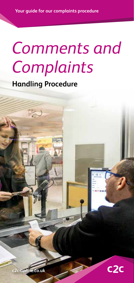# *Comments and Complaints*

**Handling Procedure**

R



**c2c-online.co.uk**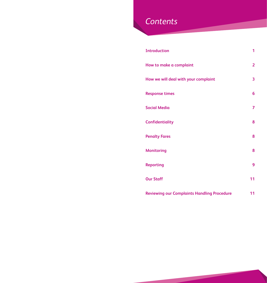### *Contents*

| <b>Introduction</b>                                | 1  |
|----------------------------------------------------|----|
| How to make a complaint                            | 2  |
| How we will deal with your complaint               | 3  |
| <b>Response times</b>                              | 6  |
| <b>Social Media</b>                                | 7  |
| <b>Confidentiality</b>                             | 8  |
| <b>Penalty Fares</b>                               | 8  |
| <b>Monitoring</b>                                  | 8  |
| <b>Reporting</b>                                   | 9  |
| <b>Our Staff</b>                                   | 11 |
| <b>Reviewing our Complaints Handling Procedure</b> | 11 |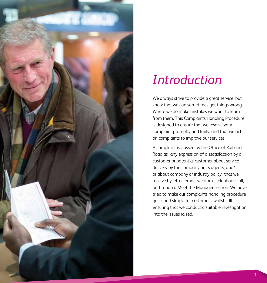

# *Introduction*

We always strive to provide a great service, but know that we can sometimes get things wrong. Where we do make mistakes we want to learn from them. This Complaints Handling Procedure is designed to ensure that we resolve your complaint promptly and fairly, and that we act on complaints to improve our services.

A complaint is classed by the Office of Rail and Road as "any expression of dissatisfaction by a customer or potential customer about service delivery by the company or its agents, and/ or about company or industry policy" that we receive by letter, email, webform, telephone call, or through a Meet the Manager session. We have tried to make our complaints handling procedure quick and simple for customers, whilst still ensuring that we conduct a suitable investigation into the issues raised.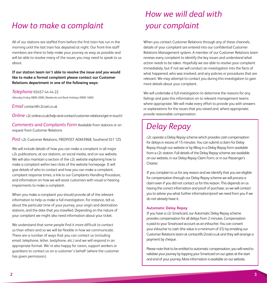### *How to make a complaint*

All of our stations are staffed from before the first train has run in the morning until the last train has departed at night. Our front-line staff members are there to help make your journey as easy as possible and will be able to resolve many of the issues you may need to speak to us about.

### **If our station team isn't able to resolve the issue and you would like to make a formal complaint please contact our Customer Relations department in one of the following ways:**

#### *Telephone* 03457 44 44 22

(Monday-Friday 0800-2000, Weekends and Bank Holidays 0900-1600)

*Email* contact@c2crail.co.uk

*Online* c2c-online.co.uk/help-and-contact/customer-relations/get-in-touch/

*Comments and Complaints Form* Available from stations or on request from Customer Relations

*Post* c2c Customer Relations, FREEPOST ADM3968, Southend SS1 1ZS

We will include details of how you can make a complaint in all major c2c publications, at our stations, on social media, and on our website. We will also maintain a section of the c2c website explaining how to make a complaint within two clicks of the website homepage. It will give details of who to contact and how you can make a complaint, complaint response times, a link to our Complaints Handling Procedure, and information on how we will assist customers with visual or hearing impairments to make a complaint.

When you make a complaint you should provide all of the relevant information to help us make a full investigation. For instance, tell us about the particular time of your journey, your origin and destination stations, and the date that you travelled. Depending on the nature of your complaint we might also need information about your ticket.

We understand that some people find it more difficult to contact us than others and so we will be flexible in how we communicate. There are a number of ways that you can contact us (including email, telephone, letter, textphone, etc.) and we will respond in an appropriate format. We're also happy for carers, support workers or guardians to contact us on a customer's behalf (where the customer has given permission).

### *How we will deal with your complaint*

When you contact Customer Relations through any of these channels, details of your complaint are entered into our confidential Customer Relations Management system. A member of our Customer Relations team reviews every complaint to identify the key issues and understand what action needs to be taken. Hopefully we are able to resolve your complaint immediately, but if not we will conduct an investigation into the facts of what happened, who was involved, and any policies or procedures that are relevant. We may attempt to contact you during this investigation to gain more details about your complaint.

We will undertake a full investigation to determine the reasons for any failings and pass this information on to relevant management teams where appropriate. We will make every effort to provide you with answers or explanations for the issues that you raised and, where appropriate, provide reasonable compensation.

### *Delay Repay*

c2c operate a Delay Repay scheme which provides cash compensation for delays in excess of 15 minutes. You can submit a claim for Delay Repay though our website or by filling in a Delay Repay form available from a c2c station. Full details of the Delay Repay scheme are available on our website, in our Delay Repay Claim Form, or in our Passenger's **Charter** 

If you complain to us for any reason and we identify that you are eligible for compensation through our Delay Repay scheme we will process a claim even if you did not contact us for this reason. This depends on us having the correct information and proof of purchase, so we will contact you to advise you what further information/proof we need from you if we do not already have it.

### **Automatic Delay Repay**

If you have a c2c Smartcard, our Automatic Delay Repay scheme provides compensation for all delays from 2 minutes. Compensation is paid to your Smartcard account as an eVoucher. You can convert your eVoucher to cash (the value is a minimum of £5) by emailing our Customer Relations team at contact@c2crail.co.uk and they will arrange a payment by cheque.

Please note that to be entitled to automatic compensation; you will need to validate your journey by tapping your Smartcard on our gates at the start and end of your journey. More information is available on our website.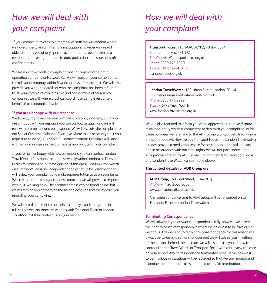## *How we will deal with your complaint*

If your complaint relates to a member of staff we will confirm where we have undertaken an internal investigation, however we are not able to inform you of any specific action that has been taken as a result of that investigation due to data protection and issues of staff confidentiality.

Where you have made a complaint that concerns another train operating company or Network Rail we will pass on your complaint to the relevant company within 5 working days of receiving it. We will also provide you with the details of who the complaint has been referred to. If your complaint concerns c2c and one or more other railway companies we will, where practical, coordinate a single response on behalf of all companies involved.

#### **If you are unhappy with our response**

We'll always try to resolve your complaint promptly and fully, but if you are unhappy with our response you can contact us again and we will review the complaint and our response. We will escalate the complaint to our Senior Customer Relations Executive where this is necessary (or if you request us to do so). Our Senior Customer Relations Executive will liaise with senior managers in the business as appropriate for your complaint.

If you remain unhappy with how we respond you can contact London TravelWatch (for stations or journeys wholly within London) or Transport Focus (for stations or journeys outside of this area). London TravelWatch and Transport Focus are independent bodies set up by Parliament and will review your complaint and make representation to us on your behalf. When either of these organisations contact us we will provide a response within 10 working days. Their contact details can be found below, but we will remind you of them on the second occasion that we contact you regarding your complaint.

We will record details of complaints accurately, consistently, and in full, so that we can share these notes with Transport Focus or London TravelWatch if they contact us on your behalf.

### *How we will deal with your complaint*

**Transport Focus,** RTEH-XAGE-BYKZ, PO Box 5594, Southend-on-Sea, SS1 9PZ *Email* advice@transportfocus.org.uk *Phone* 0300 123 2350 *Twitter* @TransportFocus transportfocus.org.uk

**London TravelWatch,** 169 Union Street, London, SE1 0LL *Email* enquiries@londontravelwatch.org.uk *Phone* 0203 176 2999 *Twitter* @LonTravelWatch www.londontravelwatch.org.uk

We are also required to inform you of an approved alternative dispute resolution entity which is competent to deal with your complaint, so for these purposes we refer you to the ADR Group (contact details for whom are set out below). However, as Transport Focus and London Travelwatch already provide a mediation service for passengers in the rail industry, and in accordance with our legal rights, we will not participate in the ADR process offered by ADR Group. Contact details for Transport Focus and London TravelWatch can be found above.

### **The contact details for ADR Group are:**

**ADR Group,** 160 Fleet Street, EC4A 2DQ *Phone* +44 20 3600 5050 www.consumer-dispute.co.uk

Any correspondence sent to ADR Group will be forwarded on to Transport Focus or London Travelwatch.

#### **Terminating Correspondence**

We will always try to answer correspondence fully, however we reserve the right to cease correspondence where we believe it to be frivolous or vexatious. The decision to terminate correspondence for this reason will always be taken by a senior manager and we will advise you in writing of the reasons behind the decision, we will also advise you of how to contact London TravelWatch or Transport Focus who can review the case on your behalf. Any correspondence terminated because we believe it to be frivolous or vexatious will be recorded so that we can monitor and examine the number of cases and the reasons for termination.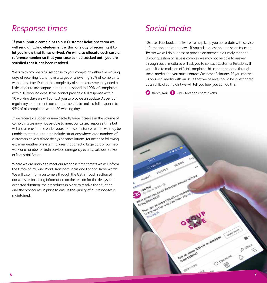### *Response times Social media*

**If you submit a complaint to our Customer Relations team we will send an acknowledgement within one day of receiving it to let you know that it has arrived. We will also allocate each case a reference number so that your case can be tracked until you are satisfied that it has been resolved.**

We aim to provide a full response to your complaint within five working days of receiving it and have a target of answering 95% of complaints within this time. Due to the complexity of some cases we may need a little longer to investigate, but aim to respond to 100% of complaints within 10 working days. If we cannot provide a full response within 10 working days we will contact you to provide an update. As per our regulatory requirement, our commitment is to make a full response to 95% of all complaints within 20 working days.

If we receive a sudden or unexpectedly large increase in the volume of complaints we may not be able to meet our target response time but will use all reasonable endeavours to do so. Instances where we may be unable to meet our targets include situations where large numbers of customers have suffered delays or cancellations, for instance following extreme weather or system failures that affect a large part of our network or a number of train services, emergency events, suicides, strikes or Industrial Action.

Where we are unable to meet our response time targets we will inform the Office of Rail and Road, Transport Focus and London TravelWatch. We will also inform customers through the Get in Touch section of our website, including information on the reason for the delays, the expected duration, the procedures in place to resolve the situation and the procedures in place to ensure the quality of our responses is maintained.

c2c uses Facebook and Twitter to help keep you up-to-date with service information and other news. If you ask a question or raise an issue on Twitter we will do our best to provide an answer in a timely manner. If your question or issue is complex we may not be able to answer through social media so will ask you to contact Customer Relations. If you'd like to make an official complaint this cannot be done through social media and you must contact Customer Relations. If you contact us on social media with an issue that we believe should be investigated as an official complaint we will tell you how you can do this.

**O** @c2c\_Rail **O** www.facebook.com/c2cRail

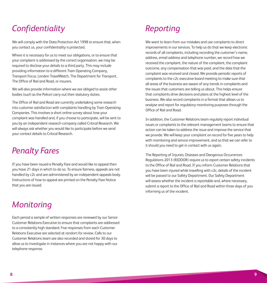### *Confidentiality Reporting*

We will comply with the Data Protection Act 1998 to ensure that, when you contact us, your confidentiality is protected.

Where it is necessary for us to meet our obligations, or to ensure that your complaint is addressed by the correct organisation, we may be required to disclose your details to a third party. This may include providing information to a different Train Operating Company, Transport Focus, London TravelWatch, The Department for Transport, The Office of Rail and Road, or insurers.

We will also provide information where we are obliged to assist other bodies (such as the Police) carry out their statutory duties.

The Office of Rail and Road are currently undertaking some research into customer satisfaction with complaints handling by Train Operating Companies. This involves a short online survey about how your complaint was handled and, if you choose to participate, will be sent to you by an independent research company called Critical Research. We will always ask whether you would like to participate before we send your contact details to Critical Research.

### *Penalty Fares*

If you have been issued a Penalty Fare and would like to appeal then you have 21 days in which to do so. To ensure fairness, appeals are not handled by c2c and are administered by an independent appeals body. Instructions of how to appeal are printed on the Penalty Fare Notice that you are issued.

### *Monitoring*

Each period a sample of written responses are reviewed by our Senior Customer Relations Executive to ensure that complaints are addressed to a consistently high standard. Five responses from each Customer Relations Executive are selected at random for review. Calls to our Customer Relations team are also recorded and stored for 30 days to allow us to investigate in instances where you are not happy with our telephone response.

We want to learn from our mistakes and use complaints to direct improvements in our services. To help us do that we keep electronic records of all complaints, including recording the customer's name, address, email address and telephone number, we record how we received the complaint, the nature of the complaint, the complaint outcome, any compensation that was paid, and the date that the complaint was received and closed. We provide periodic reports of complaints to the c2c executive board meeting to make sure that all areas of the business are aware of any trends in complaints and the issues that customers are telling us about. This helps ensure that complaints drive decisions and plans at the highest level of the business. We also record complaints in a format that allows us to analyse and report for regulatory monitoring purposes through the Office of Rail and Road.

In addition, the Customer Relations team regularly report individual issues or complaints to the relevant management teams to ensure that action can be taken to address the issue and improve the service that we provide. We will keep your complaint on record for five years to help with monitoring and service improvement, and so that we can refer to it should you need to get in contact with us again.

The Reporting of Injuries, Diseases and Dangerous Occurrences Regulations 2013 (RIDDOR) require us to report certain safety incidents to the Office of Rail and Road. If you inform Customer Relations that you have been injured while travelling with c2c, details of the incident will be passed to our Safety Department. Our Safety Department will assess whether the incident is reportable and, where necessary, submit a report to the Office of Rail and Road within three days of you informing us of the incident.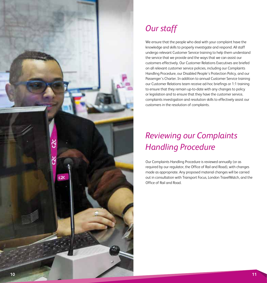

## *Our staff*

We ensure that the people who deal with your complaint have the knowledge and skills to properly investigate and respond. All staff undergo relevant Customer Service training to help them understand the service that we provide and the ways that we can assist our customers effectively. Our Customer Relations Executives are briefed on all relevant customer service policies, including our Complaints Handling Procedure, our Disabled People's Protection Policy, and our Passenger's Charter. In addition to annual Customer Service training our Customer Relations team receive ad-hoc briefings or 1:1 training to ensure that they remain up-to-date with any changes to policy or legislation and to ensure that they have the customer service, complaints investigation and resolution skills to effectively assist our customers in the resolution of complaints.

## *Reviewing our Complaints Handling Procedure*

Our Complaints Handling Procedure is reviewed annually (or as required by our regulator, the Office of Rail and Road), with changes made as appropriate. Any proposed material changes will be carried out in consultation with Transport Focus, London TravelWatch, and the Office of Rail and Road.